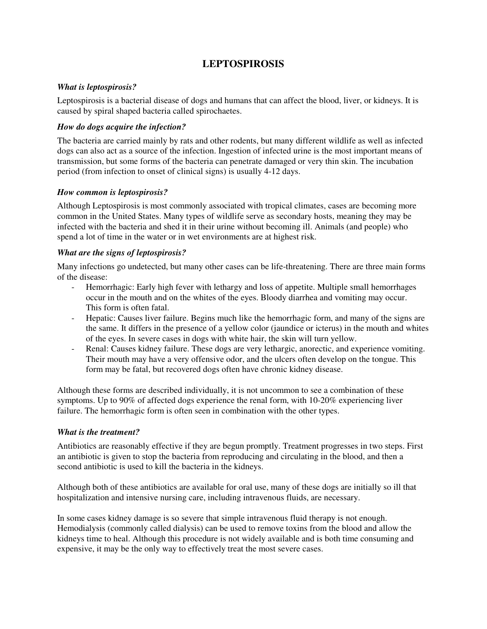# **LEPTOSPIROSIS**

## *What is leptospirosis?*

Leptospirosis is a bacterial disease of dogs and humans that can affect the blood, liver, or kidneys. It is caused by spiral shaped bacteria called spirochaetes.

## *How do dogs acquire the infection?*

The bacteria are carried mainly by rats and other rodents, but many different wildlife as well as infected dogs can also act as a source of the infection. Ingestion of infected urine is the most important means of transmission, but some forms of the bacteria can penetrate damaged or very thin skin. The incubation period (from infection to onset of clinical signs) is usually 4-12 days.

## *How common is leptospirosis?*

Although Leptospirosis is most commonly associated with tropical climates, cases are becoming more common in the United States. Many types of wildlife serve as secondary hosts, meaning they may be infected with the bacteria and shed it in their urine without becoming ill. Animals (and people) who spend a lot of time in the water or in wet environments are at highest risk.

## *What are the signs of leptospirosis?*

Many infections go undetected, but many other cases can be life-threatening. There are three main forms of the disease:

- Hemorrhagic: Early high fever with lethargy and loss of appetite. Multiple small hemorrhages occur in the mouth and on the whites of the eyes. Bloody diarrhea and vomiting may occur. This form is often fatal.
- Hepatic: Causes liver failure. Begins much like the hemorrhagic form, and many of the signs are the same. It differs in the presence of a yellow color (jaundice or icterus) in the mouth and whites of the eyes. In severe cases in dogs with white hair, the skin will turn yellow.
- Renal: Causes kidney failure. These dogs are very lethargic, anorectic, and experience vomiting. Their mouth may have a very offensive odor, and the ulcers often develop on the tongue. This form may be fatal, but recovered dogs often have chronic kidney disease.

Although these forms are described individually, it is not uncommon to see a combination of these symptoms. Up to 90% of affected dogs experience the renal form, with 10-20% experiencing liver failure. The hemorrhagic form is often seen in combination with the other types.

#### *What is the treatment?*

Antibiotics are reasonably effective if they are begun promptly. Treatment progresses in two steps. First an antibiotic is given to stop the bacteria from reproducing and circulating in the blood, and then a second antibiotic is used to kill the bacteria in the kidneys.

Although both of these antibiotics are available for oral use, many of these dogs are initially so ill that hospitalization and intensive nursing care, including intravenous fluids, are necessary.

In some cases kidney damage is so severe that simple intravenous fluid therapy is not enough. Hemodialysis (commonly called dialysis) can be used to remove toxins from the blood and allow the kidneys time to heal. Although this procedure is not widely available and is both time consuming and expensive, it may be the only way to effectively treat the most severe cases.